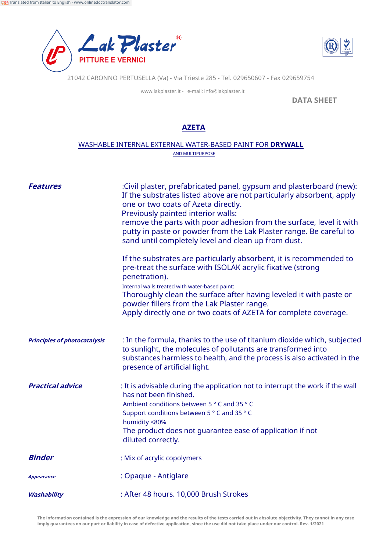



21042 CARONNO PERTUSELLA (Va) - Via Trieste 285 - Tel. 029650607 - Fax 029659754

www.lakplaster.it - e-mail: info@lakplaster.it

**DATA SHEET**

## **AZETA**

## WASHABLE INTERNAL EXTERNAL WATER-BASED PAINT FOR **DRYWALL** AND MULTIPURPOSE

| <b>Features</b>                     | :Civil plaster, prefabricated panel, gypsum and plasterboard (new):<br>If the substrates listed above are not particularly absorbent, apply<br>one or two coats of Azeta directly.<br>Previously painted interior walls:<br>remove the parts with poor adhesion from the surface, level it with<br>putty in paste or powder from the Lak Plaster range. Be careful to<br>sand until completely level and clean up from dust. |  |
|-------------------------------------|------------------------------------------------------------------------------------------------------------------------------------------------------------------------------------------------------------------------------------------------------------------------------------------------------------------------------------------------------------------------------------------------------------------------------|--|
|                                     | If the substrates are particularly absorbent, it is recommended to<br>pre-treat the surface with ISOLAK acrylic fixative (strong<br>penetration).<br>Internal walls treated with water-based paint:<br>Thoroughly clean the surface after having leveled it with paste or<br>powder fillers from the Lak Plaster range.<br>Apply directly one or two coats of AZETA for complete coverage.                                   |  |
| <b>Principles of photocatalysis</b> | : In the formula, thanks to the use of titanium dioxide which, subjected<br>to sunlight, the molecules of pollutants are transformed into<br>substances harmless to health, and the process is also activated in the<br>presence of artificial light.                                                                                                                                                                        |  |
| <b>Practical advice</b>             | : It is advisable during the application not to interrupt the work if the wall<br>has not been finished.<br>Ambient conditions between 5 ° C and 35 ° C<br>Support conditions between 5 ° C and 35 ° C<br>humidity <80%<br>The product does not guarantee ease of application if not<br>diluted correctly.                                                                                                                   |  |
| <b>Binder</b>                       | : Mix of acrylic copolymers                                                                                                                                                                                                                                                                                                                                                                                                  |  |
| <b>Appearance</b>                   | : Opaque - Antiglare                                                                                                                                                                                                                                                                                                                                                                                                         |  |
| Washability                         | : After 48 hours. 10,000 Brush Strokes                                                                                                                                                                                                                                                                                                                                                                                       |  |

**The information contained is the expression of our knowledge and the results of the tests carried out in absolute objectivity. They cannot in any case imply guarantees on our part or liability in case of defective application, since the use did not take place under our control. Rev. 1/2021**